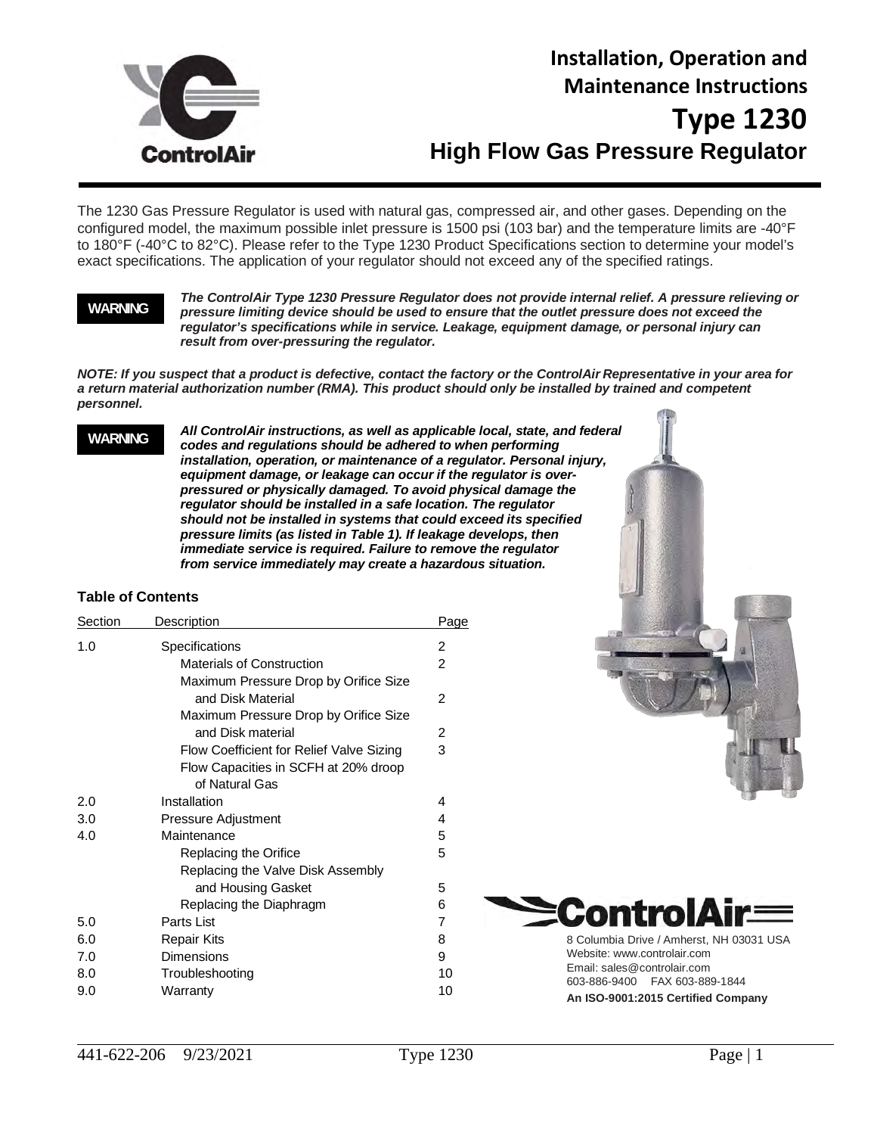

# **Installation, Operation and Maintenance Instructions Type 1230 High Flow Gas Pressure Regulator**

The 1230 Gas Pressure Regulator is used with natural gas, compressed air, and other gases. Depending on the configured model, the maximum possible inlet pressure is 1500 psi (103 bar) and the temperature limits are -40°F to 180°F (-40°C to 82°C). Please refer to the Type 1230 Product Specifications section to determine your model's exact specifications. The application of your regulator should not exceed any of the specified ratings.

#### **WARNING**

*The ControlAir Type 1230 Pressure Regulator does not provide internal relief. A pressure relieving or pressure limiting device should be used to ensure that the outlet pressure does not exceed the regulator's specifications while in service. Leakage, equipment damage, or personal injury can result from over-pressuring the regulator.*

*NOTE: If you suspect that a product is defective, contact the factory or the ControlAir Representative in your area for a return material authorization number (RMA). This product should only be installed by trained and competent personnel.*

#### **WARNING**

*All ControlAir instructions, as well as applicable local, state, and federal codes and regulations should be adhered to when performing installation, operation, or maintenance of a regulator. Personal injury, equipment damage, or leakage can occur if the regulator is overpressured or physically damaged. To avoid physical damage the regulator should be installed in a safe location. The regulator should not be installed in systems that could exceed its specified pressure limits (as listed in Table 1). If leakage develops, then immediate service is required. Failure to remove the regulator from service immediately may create a hazardous situation.*

#### **Table of Contents**

| 2<br>$\overline{2}$<br>$\overline{2}$<br>2 |
|--------------------------------------------|
|                                            |
|                                            |
|                                            |
|                                            |
|                                            |
|                                            |
| 3                                          |
|                                            |
|                                            |
| 4                                          |
| 4                                          |
| 5                                          |
| 5                                          |
|                                            |
| 5                                          |
| 6                                          |
| 7                                          |
| 8                                          |
| 9                                          |
| 10                                         |
| 10                                         |
|                                            |





**An ISO-9001:2015 Certified Company**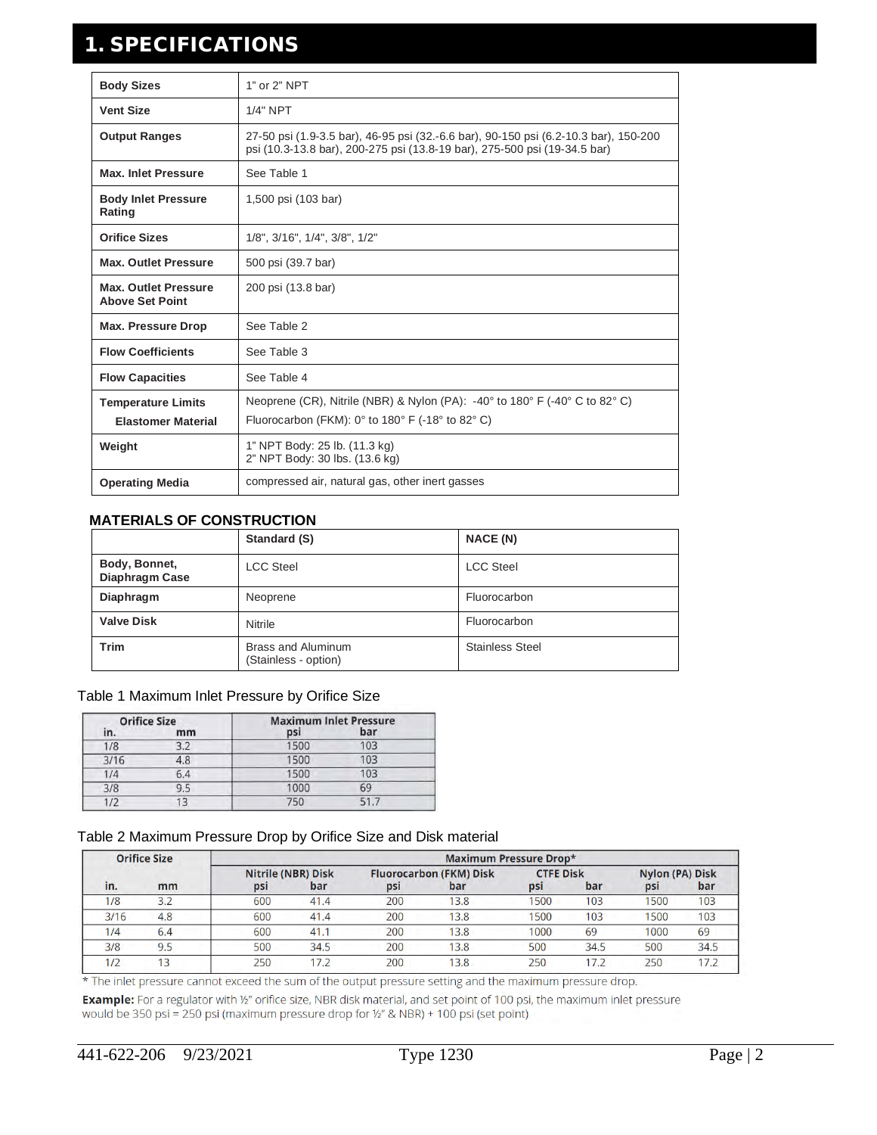# 1. SPECIFICATIONS

| <b>Body Sizes</b>                                      | 1" or 2" NPT                                                                                                                                                      |
|--------------------------------------------------------|-------------------------------------------------------------------------------------------------------------------------------------------------------------------|
| <b>Vent Size</b>                                       | 1/4" NPT                                                                                                                                                          |
| <b>Output Ranges</b>                                   | 27-50 psi (1.9-3.5 bar), 46-95 psi (32.-6.6 bar), 90-150 psi (6.2-10.3 bar), 150-200<br>psi (10.3-13.8 bar), 200-275 psi (13.8-19 bar), 275-500 psi (19-34.5 bar) |
| <b>Max. Inlet Pressure</b>                             | See Table 1                                                                                                                                                       |
| <b>Body Inlet Pressure</b><br>Rating                   | 1,500 psi (103 bar)                                                                                                                                               |
| <b>Orifice Sizes</b>                                   | 1/8", 3/16", 1/4", 3/8", 1/2"                                                                                                                                     |
| <b>Max. Outlet Pressure</b>                            | 500 psi (39.7 bar)                                                                                                                                                |
| <b>Max. Outlet Pressure</b><br><b>Above Set Point</b>  | 200 psi (13.8 bar)                                                                                                                                                |
| <b>Max. Pressure Drop</b>                              | See Table 2                                                                                                                                                       |
| <b>Flow Coefficients</b>                               | See Table 3                                                                                                                                                       |
| <b>Flow Capacities</b>                                 | See Table 4                                                                                                                                                       |
| <b>Temperature Limits</b><br><b>Elastomer Material</b> | Neoprene (CR), Nitrile (NBR) & Nylon (PA): $-40^{\circ}$ to 180° F ( $-40^{\circ}$ C to 82° C)<br>Fluorocarbon (FKM): $0^\circ$ to 180° F (-18° to 82° C)         |
| Weight                                                 | 1" NPT Body: 25 lb. (11.3 kg)<br>2" NPT Body: 30 lbs. (13.6 kg)                                                                                                   |
| <b>Operating Media</b>                                 | compressed air, natural gas, other inert gasses                                                                                                                   |

### **MATERIALS OF CONSTRUCTION**

|                                 | Standard (S)                                      | <b>NACE (N)</b>        |
|---------------------------------|---------------------------------------------------|------------------------|
| Body, Bonnet,<br>Diaphragm Case | <b>LCC Steel</b>                                  | <b>LCC Steel</b>       |
| Diaphragm                       | Neoprene                                          | Fluorocarbon           |
| <b>Valve Disk</b>               | Nitrile                                           | Fluorocarbon           |
| <b>Trim</b>                     | <b>Brass and Aluminum</b><br>(Stainless - option) | <b>Stainless Steel</b> |

#### Table 1 Maximum Inlet Pressure by Orifice Size

| <b>Orifice Size</b> |     | <b>Maximum Inlet Pressure</b> |     |
|---------------------|-----|-------------------------------|-----|
| in.                 | mm  | psi                           | bar |
| 1/8                 | 3.2 | 1500                          | 103 |
| 3/16                | 4.8 | 1500                          | 103 |
| 1/4                 | 6.4 | 1500                          | 103 |
| 3/8                 | 9.5 | 1000                          | 69  |
| 1/2                 |     | 750                           | 517 |

#### Table 2 Maximum Pressure Drop by Orifice Size and Disk material

|      | <b>Orifice Size</b> |     |                           |     | <b>Maximum Pressure Drop*</b>  |                  |      |                 |      |
|------|---------------------|-----|---------------------------|-----|--------------------------------|------------------|------|-----------------|------|
|      |                     |     | <b>Nitrile (NBR) Disk</b> |     | <b>Fluorocarbon (FKM) Disk</b> | <b>CTFE Disk</b> |      | Nylon (PA) Disk |      |
| in.  | mm                  | psi | bar                       | psi | bar                            | psi              | bar  | psi             | bar  |
| 1/8  | 3.2                 | 600 | 41.4                      | 200 | 13.8                           | 1500             | 103  | 1500            | 103  |
| 3/16 | 4.8                 | 600 | 41.4                      | 200 | 13.8                           | 1500             | 103  | 1500            | 103  |
| 1/4  | 6.4                 | 600 | 41.                       | 200 | 13.8                           | 1000             | 69   | 1000            | 69   |
| 3/8  | 9.5                 | 500 | 34.5                      | 200 | 13.8                           | 500              | 34.5 | 500             | 34.5 |
| 1/2  | 13                  | 250 |                           | 200 | 13.8                           | 250              | 17.2 | 250             |      |

\* The inlet pressure cannot exceed the sum of the output pressure setting and the maximum pressure drop.

Example: For a regulator with 1/2" orifice size, NBR disk material, and set point of 100 psi, the maximum inlet pressure would be 350 psi = 250 psi (maximum pressure drop for 1/2" & NBR) + 100 psi (set point)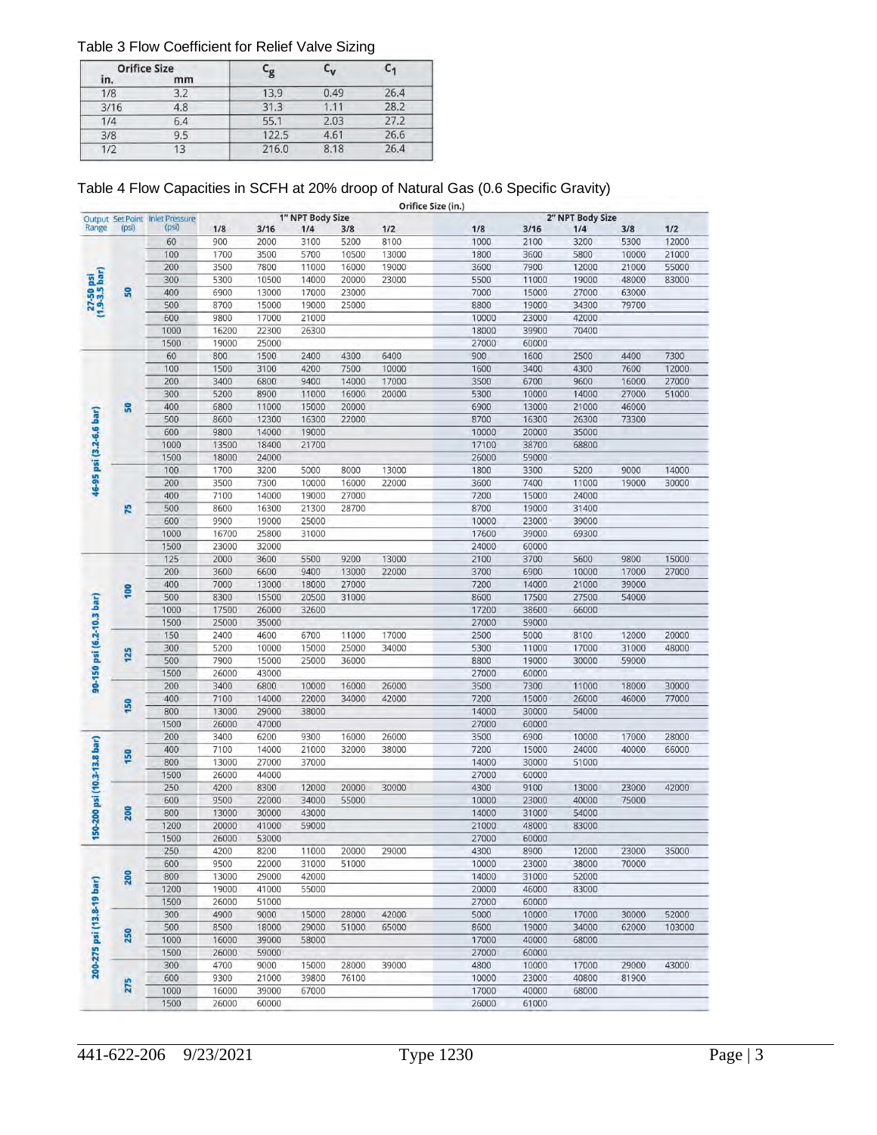#### Table 3 Flow Coefficient for Relief Valve Sizing

| <b>Orifice Size</b> |     | -<br>g | ۳v    |      |
|---------------------|-----|--------|-------|------|
| in.                 | mm  |        |       |      |
| 1/8                 | 3.2 | 13.9   | 0.49  | 26.4 |
| 3/16                | 4.8 | 31.3   | 1 1 1 | 28.2 |
| 1/4                 | 6.4 | 55.1   | 2.03  | 27.2 |
| 3/8                 | 9.5 | 122.5  | 4.61  | 26.6 |
| 1/2                 | 13  | 216.0  | 8.18  | 26.4 |

### Table 4 Flow Capacities in SCFH at 20% droop of Natural Gas (0.6 Specific Gravity)

|                             |     |                                                      |                |       |                         |       | Orifice Size (in.) |       |              |                         |       |                |
|-----------------------------|-----|------------------------------------------------------|----------------|-------|-------------------------|-------|--------------------|-------|--------------|-------------------------|-------|----------------|
|                             |     | Output Set Point Inlet Pressure<br>Range (psi) (psi) | 1/8            | 3/16  | 1" NPT Body Size<br>1/4 | 3/8   | 1/2                | 1/8   | 3/16         | 2" NPT Body Size<br>1/4 | 3/8   | 1/2            |
|                             |     | 60                                                   | 900            | 2000  | 3100                    | 5200  | 8100               | 1000  | 2100         | 3200                    | 5300  | 12000          |
| 27-50 psi<br>(1.9-3.5 bar)  |     | 100                                                  | 1700           | 3500  | 5700                    | 10500 | 13000              | 1800  | 3600         | 5800                    | 10000 | 21000          |
|                             |     | 200                                                  | 3500           | 7800  | 11000                   | 16000 | 19000              | 3600  | 7900         | 12000                   | 21000 | 55000          |
|                             |     | 300                                                  | 5300           | 10500 | 14000                   | 20000 | 23000              | 5500  | 11000        | 19000                   | 48000 | 83000          |
|                             | S   | 400                                                  | 6900           | 13000 | 17000                   | 23000 |                    | 7000  | 15000        | 27000                   | 63000 |                |
|                             |     | 500                                                  | 8700           | 15000 | 19000                   | 25000 |                    | 8800  | 19000        | 34300                   | 79700 |                |
|                             |     | 600                                                  | 9800           | 17000 | 21000                   |       |                    | 10000 | 23000        | 42000                   |       |                |
|                             |     |                                                      |                | 22300 | 26300                   |       |                    | 18000 | 39900        | 70400                   |       |                |
|                             |     | 1000                                                 | 16200<br>19000 | 25000 |                         |       |                    | 27000 | 60000        |                         |       |                |
|                             |     | 1500                                                 |                | 1500  |                         |       |                    | 900   | 1600         |                         |       |                |
|                             |     | 60                                                   | 800            |       | 2400                    | 4300  | 6400               | 1600  |              | 2500<br>4300            | 4400  | 7300           |
|                             |     | 100                                                  | 1500           | 3100  | 4200                    | 7500  | 10000              | 3500  | 3400<br>6700 |                         | 7600  | 12000<br>27000 |
|                             |     | 200                                                  | 3400           | 6800  | 9400                    | 14000 | 17000              | 5300  | 10000        | 9600                    | 16000 | 51000          |
|                             |     | 300                                                  | 5200           | 8900  | 11000                   | 16000 | 20000              |       |              | 14000                   | 27000 |                |
|                             | S   | 400                                                  | 6800           | 11000 | 15000                   | 20000 |                    | 6900  | 13000        | 21000                   | 46000 |                |
| 46-95 psi (3.2-6.6 bar)     |     | 500                                                  | 8600           | 12300 | 16300                   | 22000 |                    | 8700  | 16300        | 26300                   | 73300 |                |
|                             |     | 600                                                  | 9800           | 14000 | 19000                   |       |                    | 10000 | 20000        | 35000                   |       |                |
|                             |     | 1000                                                 | 13500          | 18400 | 21700                   |       |                    | 17100 | 38700        | 68800                   |       |                |
|                             |     | 1500                                                 | 18000          | 24000 |                         |       |                    | 26000 | 59000        |                         |       |                |
|                             |     | 100                                                  | 1700           | 3200  | 5000                    | 8000  | 13000              | 1800  | 3300         | 5200                    | 9000  | 14000          |
|                             |     | 200                                                  | 3500           | 7300  | 10000                   | 16000 | 22000              | 3600  | 7400         | 11000                   | 19000 | 30000          |
|                             |     | 400                                                  | 7100           | 14000 | 19000                   | 27000 |                    | 7200  | 15000        | 24000                   |       |                |
|                             | R   | 500                                                  | 8600           | 16300 | 21300                   | 28700 |                    | 8700  | 19000        | 31400                   |       |                |
|                             |     | 600                                                  | 9900           | 19000 | 25000                   |       |                    | 10000 | 23000        | 39000                   |       |                |
|                             |     | 1000                                                 | 16700          | 25800 | 31000                   |       |                    | 17600 | 39000        | 69300                   |       |                |
| 90-150 psi (6.2-10.3 bar)   |     | 1500                                                 | 23000          | 32000 |                         |       |                    | 24000 | 60000        |                         |       |                |
|                             |     | 125                                                  | 2000           | 3600  | 5500                    | 9200  | 13000              | 2100  | 3700         | 5600                    | 9800  | 15000          |
|                             |     | 200                                                  | 3600           | 6600  | 9400                    | 13000 | 22000              | 3700  | 6900         | 10000                   | 17000 | 27000          |
|                             | 100 | 400                                                  | 7000           | 13000 | 18000                   | 27000 |                    | 7200  | 14000        | 21000                   | 39000 |                |
|                             |     | 500                                                  | 8300           | 15500 | 20500                   | 31000 |                    | 8600  | 17500        | 27500                   | 54000 |                |
|                             |     | 1000                                                 | 17500          | 26000 | 32600                   |       |                    | 17200 | 38600        | 66000                   |       |                |
|                             |     | 1500                                                 | 25000          | 35000 |                         |       |                    | 27000 | 59000        |                         |       |                |
|                             |     | 150                                                  | 2400           | 4600  | 6700                    | 11000 | 17000              | 2500  | 5000         | 8100                    | 12000 | 20000          |
|                             | 125 | 300                                                  | 5200           | 10000 | 15000                   | 25000 | 34000              | 5300  | 11000        | 17000                   | 31000 | 48000          |
|                             |     | 500                                                  | 7900           | 15000 | 25000                   | 36000 |                    | 8800  | 19000        | 30000                   | 59000 |                |
|                             |     | 1500                                                 | 26000          | 43000 |                         |       |                    | 27000 | 60000        |                         |       |                |
|                             |     | 200                                                  | 3400           | 6800  | 10000                   | 16000 | 26000              | 3500  | 7300         | 11000                   | 18000 | 30000          |
|                             | 150 | 400                                                  | 7100           | 14000 | 22000                   | 34000 | 42000              | 7200  | 15000        | 26000                   | 46000 | 77000          |
|                             |     | 800                                                  | 13000          | 29000 | 38000                   |       |                    | 14000 | 30000        | 54000                   |       |                |
|                             |     | 1500                                                 | 26000          | 47000 |                         |       |                    | 27000 | 60000        |                         |       |                |
|                             |     | 200                                                  | 3400           | 6200  | 9300                    | 16000 | 26000              | 3500  | 6900         | 10000                   | 17000 | 28000          |
|                             | 150 | 400                                                  | 7100           | 14000 | 21000                   | 32000 | 38000              | 7200  | 15000        | 24000                   | 40000 | 66000          |
|                             |     | 800                                                  | 13000          | 27000 | 37000                   |       |                    | 14000 | 30000        | 51000                   |       |                |
|                             |     | 1500                                                 | 26000          | 44000 |                         |       |                    | 27000 | 60000        |                         |       |                |
|                             |     | 250                                                  | 4200           | 8300  | 12000                   | 20000 | 30000              | 4300  | 9100         | 13000                   | 23000 | 42000          |
|                             |     | 600                                                  | 9500           | 22000 | 34000                   | 55000 |                    | 10000 | 23000        | 40000                   | 75000 |                |
|                             | 200 | 800                                                  | 13000          | 30000 | 43000                   |       |                    | 14000 | 31000        | 54000                   |       |                |
| 150-200 psi (10.3-13.8 bar) |     | 1200                                                 | 20000          | 41000 | 59000                   |       |                    | 21000 | 48000        | 83000                   |       |                |
|                             |     | 1500                                                 | 26000          | 53000 |                         |       |                    | 27000 | 60000        |                         |       |                |
|                             |     | 250                                                  | 4200           | 8200  | 11000                   | 20000 | 29000              | 4300  | 8900         | 12000                   | 23000 | 35000          |
|                             |     | 600                                                  | 9500           | 22000 | 31000                   | 51000 |                    | 10000 | 23000        | 38000                   | 70000 |                |
|                             | 200 | 800                                                  | 13000          | 29000 | 42000                   |       |                    | 14000 | 31000        | 52000                   |       |                |
|                             |     | 1200                                                 | 19000          | 41000 | 55000                   |       |                    | 20000 | 46000        | 83000                   |       |                |
|                             |     | 1500                                                 | 26000          | 51000 |                         |       |                    | 27000 | 60000        |                         |       |                |
| 200-275 psi (13.8-19 bar)   |     | 300                                                  | 4900           | 9000  | 15000                   | 28000 | 42000              | 5000  | 10000        | 17000                   | 30000 | 52000          |
|                             |     | 500                                                  | 8500           | 18000 | 29000                   | 51000 | 65000              | 8600  | 19000        | 34000                   | 62000 | 103000         |
|                             | 250 | 1000                                                 | 16000          | 39000 | 58000                   |       |                    | 17000 | 40000        | 68000                   |       |                |
|                             |     | 1500                                                 | 26000          | 59000 |                         |       |                    | 27000 | 60000        |                         |       |                |
|                             |     | 300                                                  | 4700           | 9000  | 15000                   | 28000 | 39000              | 4800  | 10000        | 17000                   | 29000 | 43000          |
|                             |     | 600                                                  | 9300           | 21000 | 39800                   | 76100 |                    | 10000 | 23000        | 40800                   | 81900 |                |
|                             | 275 | 1000                                                 | 16000          | 39000 | 67000                   |       |                    | 17000 | 40000        | 68000                   |       |                |
|                             |     | 1500                                                 | 26000          | 60000 |                         |       |                    | 26000 | 61000        |                         |       |                |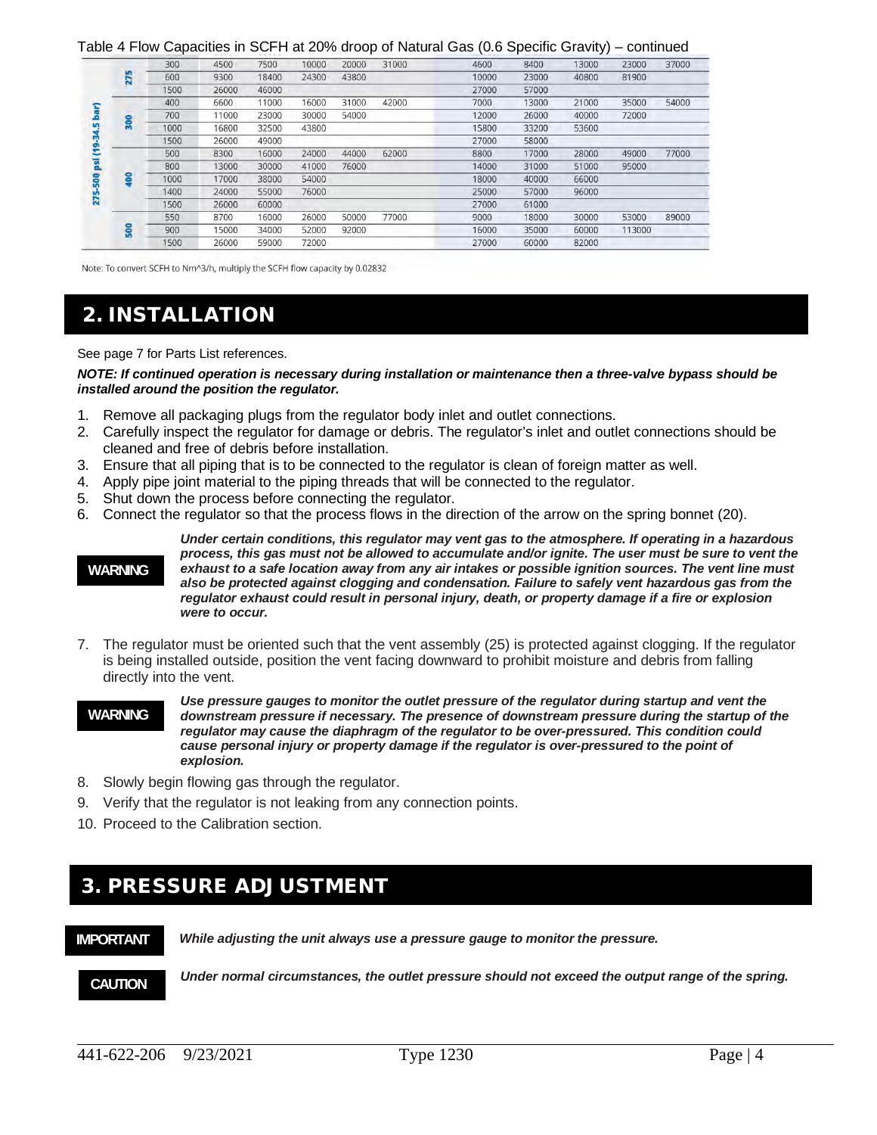Table 4 Flow Capacities in SCFH at 20% droop of Natural Gas (0.6 Specific Gravity) – continued

|                           |     |      |       |       |       |       |       |       |       | ,,,   |        |       |
|---------------------------|-----|------|-------|-------|-------|-------|-------|-------|-------|-------|--------|-------|
|                           |     | 300  | 4500  | 7500  | 10000 | 20000 | 31000 | 4600  | 8400  | 13000 | 23000  | 37000 |
| Sar)<br>un<br>m<br>G<br>÷ | 275 | 600  | 9300  | 18400 | 24300 | 43800 |       | 10000 | 23000 | 40800 | 81900  |       |
|                           |     | 1500 | 26000 | 46000 |       |       |       | 27000 | 57000 |       |        |       |
|                           |     | 400  | 6600  | 11000 | 16000 | 31000 | 42000 | 7000  | 13000 | 21000 | 35000  | 54000 |
|                           |     | 700  | 11000 | 23000 | 30000 | 54000 |       | 12000 | 26000 | 40000 | 72000  |       |
|                           | 300 | 1000 | 16800 | 32500 | 43800 |       |       | 15800 | 33200 | 53600 |        |       |
|                           |     | 1500 | 26000 | 49000 |       |       |       | 27000 | 58000 |       |        |       |
|                           |     | 500  | 8300  | 16000 | 24000 | 44000 | 62000 | 8800  | 17000 | 28000 | 49000  | 77000 |
| g                         |     | 800  | 13000 | 30000 | 41000 | 76000 |       | 14000 | 31000 | 51000 | 95000  |       |
| 500                       | š   | 1000 | 17000 | 38000 | 54000 |       |       | 18000 | 40000 | 66000 |        |       |
|                           |     | 1400 | 24000 | 55000 | 76000 |       |       | 25000 | 57000 | 96000 |        |       |
| <b>Z</b>                  |     | 1500 | 26000 | 60000 |       |       |       | 27000 | 61000 |       |        |       |
|                           |     | 550  | 8700  | 16000 | 26000 | 50000 | 77000 | 9000  | 18000 | 30000 | 53000  | 89000 |
|                           | ន្ល | 900  | 15000 | 34000 | 52000 | 92000 |       | 16000 | 35000 | 60000 | 113000 |       |
|                           |     | 1500 | 26000 | 59000 | 72000 |       |       | 27000 | 60000 | 82000 |        |       |
|                           |     |      |       |       |       |       |       |       |       |       |        |       |

Note: To convert SCFH to Nm^3/h, multiply the SCFH flow capacity by 0.02832

# 2. INSTALLATION

See page 7 for Parts List references.

*NOTE: If continued operation is necessary during installation or maintenance then a three-valve bypass should be installed around the position the regulator.*

- 1. Remove all packaging plugs from the regulator body inlet and outlet connections.
- 2. Carefully inspect the regulator for damage or debris. The regulator's inlet and outlet connections should be cleaned and free of debris before installation.
- 3. Ensure that all piping that is to be connected to the regulator is clean of foreign matter as well.
- 4. Apply pipe joint material to the piping threads that will be connected to the regulator.
- 5. Shut down the process before connecting the regulator.
- 6. Connect the regulator so that the process flows in the direction of the arrow on the spring bonnet (20).

#### **WARNING**

*Under certain conditions, this regulator may vent gas to the atmosphere. If operating in a hazardous process, this gas must not be allowed to accumulate and/or ignite. The user must be sure to vent the exhaust to a safe location away from any air intakes or possible ignition sources. The vent line must also be protected against clogging and condensation. Failure to safely vent hazardous gas from the regulator exhaust could result in personal injury, death, or property damage if a fire or explosion were to occur.*

- 7. The regulator must be oriented such that the vent assembly (25) is protected against clogging. If the regulator is being installed outside, position the vent facing downward to prohibit moisture and debris from falling directly into the vent.
- *Use pressure gauges to monitor the outlet pressure of the regulator during startup and vent the downstream pressure if necessary. The presence of downstream pressure during the startup of the regulator may cause the diaphragm of the regulator to be over-pressured. This condition could cause personal injury or property damage if the regulator is over-pressured to the point of explosion.* **WARNING**
- 8. Slowly begin flowing gas through the regulator.
- 9. Verify that the regulator is not leaking from any connection points.
- 10. Proceed to the Calibration section.

## 3. PRESSURE ADJUSTMENT

#### **IMPORTANT**

*While adjusting the unit always use a pressure gauge to monitor the pressure.*

**CAUTION**

 $\overline{a}$ 

*Under normal circumstances, the outlet pressure should not exceed the output range of the spring.*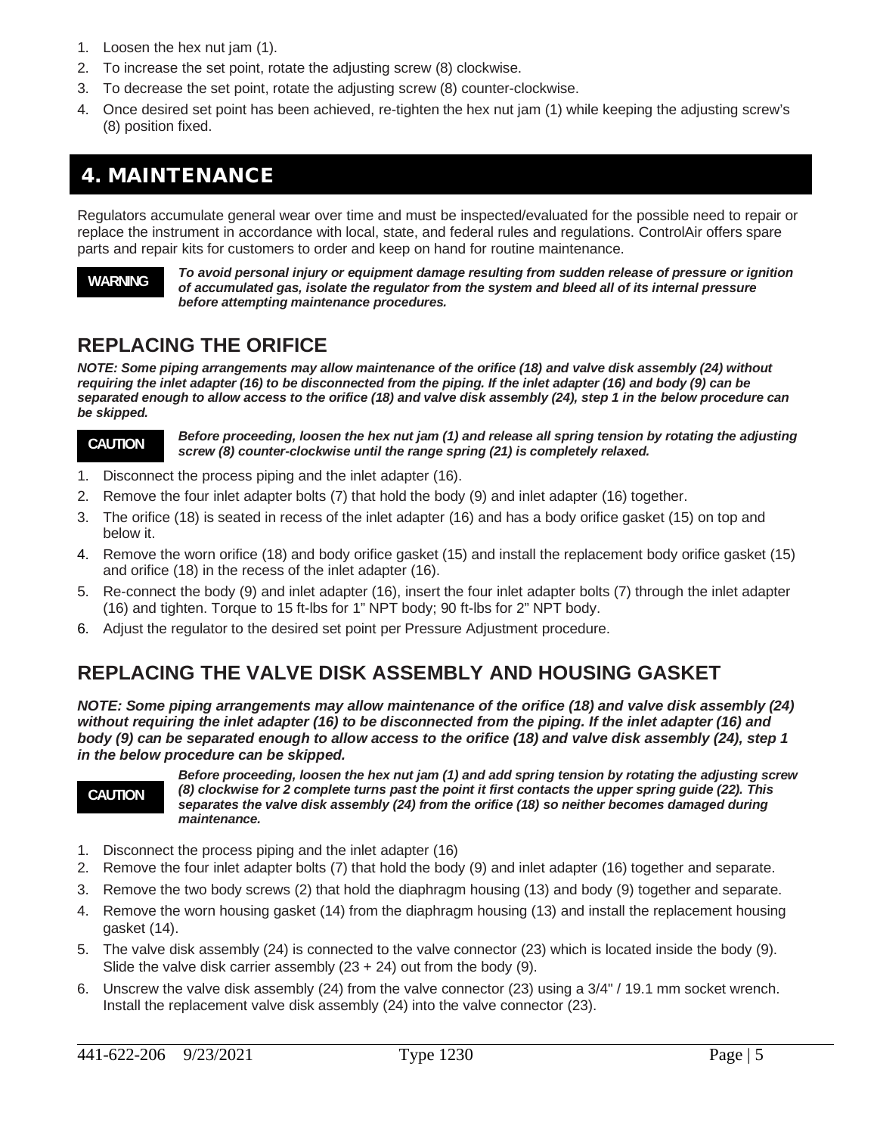- 1. Loosen the hex nut jam (1).
- 2. To increase the set point, rotate the adjusting screw (8) clockwise.
- 3. To decrease the set point, rotate the adjusting screw (8) counter-clockwise.
- 4. Once desired set point has been achieved, re-tighten the hex nut jam (1) while keeping the adjusting screw's (8) position fixed.

# 4. MAINTENANCE

Regulators accumulate general wear over time and must be inspected/evaluated for the possible need to repair or replace the instrument in accordance with local, state, and federal rules and regulations. ControlAir offers spare parts and repair kits for customers to order and keep on hand for routine maintenance.

### **WARNING**

*To avoid personal injury or equipment damage resulting from sudden release of pressure or ignition of accumulated gas, isolate the regulator from the system and bleed all of its internal pressure before attempting maintenance procedures.*

## **REPLACING THE ORIFICE**

*NOTE: Some piping arrangements may allow maintenance of the orifice (18) and valve disk assembly (24) without requiring the inlet adapter (16) to be disconnected from the piping. If the inlet adapter (16) and body (9) can be separated enough to allow access to the orifice (18) and valve disk assembly (24), step 1 in the below procedure can be skipped.*

### **CAUTION**

*Before proceeding, loosen the hex nut jam (1) and release all spring tension by rotating the adjusting screw (8) counter-clockwise until the range spring (21) is completely relaxed.* 

- 1. Disconnect the process piping and the inlet adapter (16).
- 2. Remove the four inlet adapter bolts (7) that hold the body (9) and inlet adapter (16) together.
- 3. The orifice (18) is seated in recess of the inlet adapter (16) and has a body orifice gasket (15) on top and below it.
- 4. Remove the worn orifice (18) and body orifice gasket (15) and install the replacement body orifice gasket (15) and orifice (18) in the recess of the inlet adapter (16).
- 5. Re-connect the body (9) and inlet adapter (16), insert the four inlet adapter bolts (7) through the inlet adapter (16) and tighten. Torque to 15 ft-lbs for 1" NPT body; 90 ft-lbs for 2" NPT body.
- 6. Adjust the regulator to the desired set point per Pressure Adjustment procedure.

# **REPLACING THE VALVE DISK ASSEMBLY AND HOUSING GASKET**

*NOTE: Some piping arrangements may allow maintenance of the orifice (18) and valve disk assembly (24) without requiring the inlet adapter (16) to be disconnected from the piping. If the inlet adapter (16) and body (9) can be separated enough to allow access to the orifice (18) and valve disk assembly (24), step 1 in the below procedure can be skipped.*

#### **CAUTION**

 $\overline{a}$ 

*Before proceeding, loosen the hex nut jam (1) and add spring tension by rotating the adjusting screw (8) clockwise for 2 complete turns past the point it first contacts the upper spring guide (22). This separates the valve disk assembly (24) from the orifice (18) so neither becomes damaged during maintenance.*

- 1. Disconnect the process piping and the inlet adapter (16)
- 2. Remove the four inlet adapter bolts (7) that hold the body (9) and inlet adapter (16) together and separate.
- 3. Remove the two body screws (2) that hold the diaphragm housing (13) and body (9) together and separate.
- 4. Remove the worn housing gasket (14) from the diaphragm housing (13) and install the replacement housing gasket (14).
- 5. The valve disk assembly (24) is connected to the valve connector (23) which is located inside the body (9). Slide the valve disk carrier assembly  $(23 + 24)$  out from the body  $(9)$ .
- 6. Unscrew the valve disk assembly (24) from the valve connector (23) using a 3/4" / 19.1 mm socket wrench. Install the replacement valve disk assembly (24) into the valve connector (23).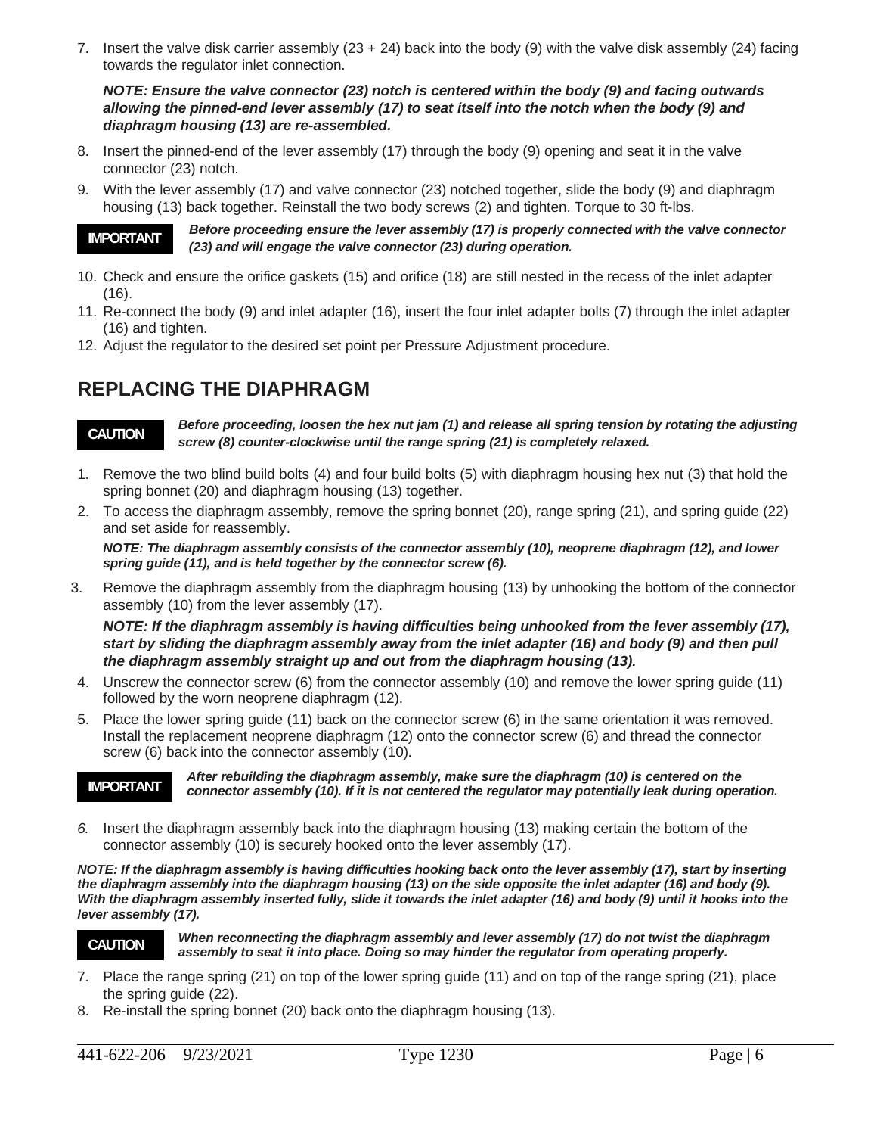7. Insert the valve disk carrier assembly  $(23 + 24)$  back into the body  $(9)$  with the valve disk assembly  $(24)$  facing towards the regulator inlet connection.

*NOTE: Ensure the valve connector (23) notch is centered within the body (9) and facing outwards allowing the pinned-end lever assembly (17) to seat itself into the notch when the body (9) and diaphragm housing (13) are re-assembled.*

- 8. Insert the pinned-end of the lever assembly (17) through the body (9) opening and seat it in the valve connector (23) notch.
- 9. With the lever assembly (17) and valve connector (23) notched together, slide the body (9) and diaphragm housing (13) back together. Reinstall the two body screws (2) and tighten. Torque to 30 ft-lbs.

**IMPORTANT**

*Before proceeding ensure the lever assembly (17) is properly connected with the valve connector (23) and will engage the valve connector (23) during operation.*

- 10. Check and ensure the orifice gaskets (15) and orifice (18) are still nested in the recess of the inlet adapter (16).
- 11. Re-connect the body (9) and inlet adapter (16), insert the four inlet adapter bolts (7) through the inlet adapter (16) and tighten.
- 12. Adjust the regulator to the desired set point per Pressure Adjustment procedure.

# **REPLACING THE DIAPHRAGM**



*Before proceeding, loosen the hex nut jam (1) and release all spring tension by rotating the adjusting screw (8) counter-clockwise until the range spring (21) is completely relaxed.* 

- 1. Remove the two blind build bolts (4) and four build bolts (5) with diaphragm housing hex nut (3) that hold the spring bonnet (20) and diaphragm housing (13) together.
- 2. To access the diaphragm assembly, remove the spring bonnet (20), range spring (21), and spring guide (22) and set aside for reassembly.

*NOTE: The diaphragm assembly consists of the connector assembly (10), neoprene diaphragm (12), and lower spring guide (11), and is held together by the connector screw (6).* 

3. Remove the diaphragm assembly from the diaphragm housing (13) by unhooking the bottom of the connector assembly (10) from the lever assembly (17).

*NOTE: If the diaphragm assembly is having difficulties being unhooked from the lever assembly (17), start by sliding the diaphragm assembly away from the inlet adapter (16) and body (9) and then pull the diaphragm assembly straight up and out from the diaphragm housing (13).* 

- 4. Unscrew the connector screw (6) from the connector assembly (10) and remove the lower spring guide (11) followed by the worn neoprene diaphragm (12).
- 5. Place the lower spring guide (11) back on the connector screw (6) in the same orientation it was removed. Install the replacement neoprene diaphragm (12) onto the connector screw (6) and thread the connector screw (6) back into the connector assembly (10).

#### **IMPORTANT**

*After rebuilding the diaphragm assembly, make sure the diaphragm (10) is centered on the connector assembly (10). If it is not centered the regulator may potentially leak during operation.* 

*6.* Insert the diaphragm assembly back into the diaphragm housing (13) making certain the bottom of the connector assembly (10) is securely hooked onto the lever assembly (17).

*NOTE: If the diaphragm assembly is having difficulties hooking back onto the lever assembly (17), start by inserting the diaphragm assembly into the diaphragm housing (13) on the side opposite the inlet adapter (16) and body (9). With the diaphragm assembly inserted fully, slide it towards the inlet adapter (16) and body (9) until it hooks into the lever assembly (17).* 



 $\overline{a}$ 

*When reconnecting the diaphragm assembly and lever assembly (17) do not twist the diaphragm assembly to seat it into place. Doing so may hinder the regulator from operating properly.* 

- 7. Place the range spring (21) on top of the lower spring guide (11) and on top of the range spring (21), place the spring guide (22).
- 8. Re-install the spring bonnet (20) back onto the diaphragm housing (13).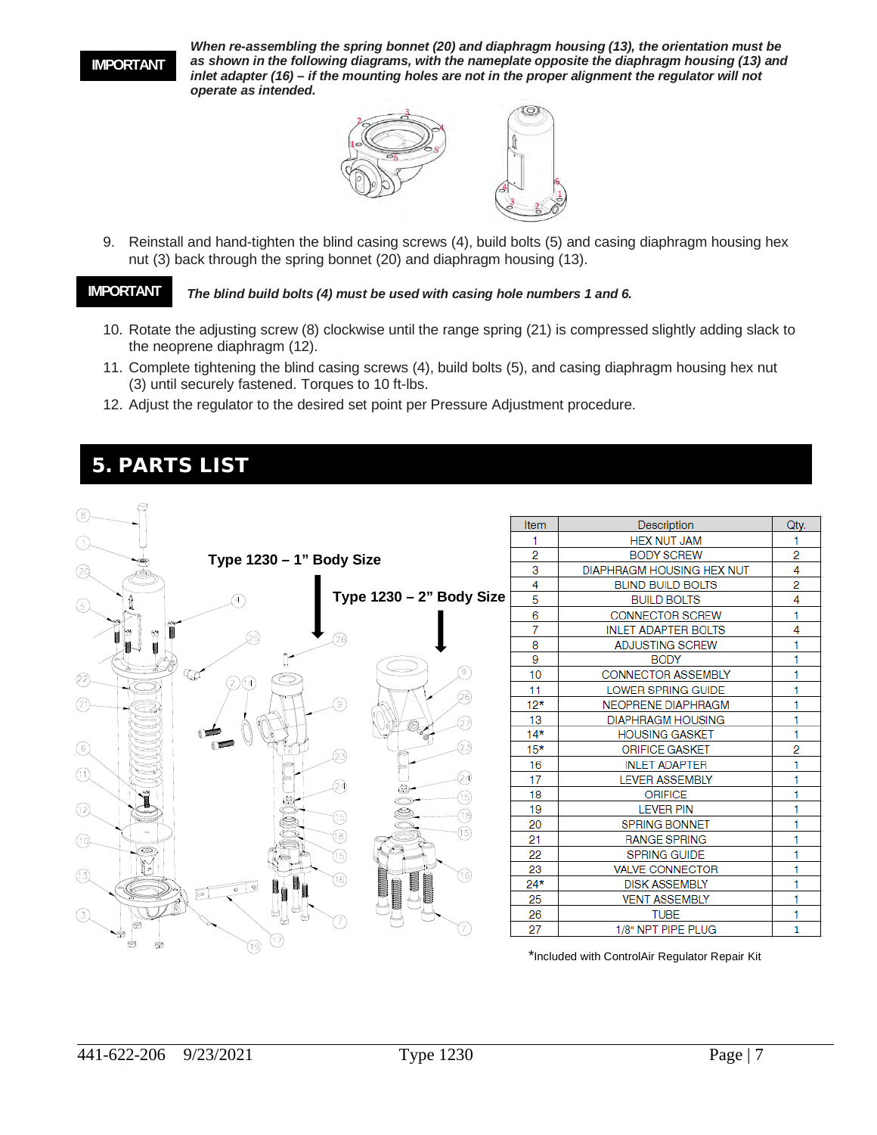#### **IMPORTANT**

*When re-assembling the spring bonnet (20) and diaphragm housing (13), the orientation must be as shown in the following diagrams, with the nameplate opposite the diaphragm housing (13) and inlet adapter (16) – if the mounting holes are not in the proper alignment the regulator will not operate as intended.* 



9. Reinstall and hand-tighten the blind casing screws (4), build bolts (5) and casing diaphragm housing hex nut (3) back through the spring bonnet (20) and diaphragm housing (13).

#### **IMPORTANT**

*The blind build bolts (4) must be used with casing hole numbers 1 and 6.* 

- 10. Rotate the adjusting screw (8) clockwise until the range spring (21) is compressed slightly adding slack to the neoprene diaphragm (12).
- 11. Complete tightening the blind casing screws (4), build bolts (5), and casing diaphragm housing hex nut (3) until securely fastened. Torques to 10 ft-lbs.
- 12. Adjust the regulator to the desired set point per Pressure Adjustment procedure.

### 5. PARTS LIST

 $\sim$ 

| (8)                                                                          |       |                                  |              |
|------------------------------------------------------------------------------|-------|----------------------------------|--------------|
|                                                                              | Item  | Description                      | Qty.         |
| (1)                                                                          |       | <b>HEX NUT JAM</b>               |              |
| Type 1230 - 1" Body Size                                                     | 2     | <b>BODY SCREW</b>                | 2            |
| 29                                                                           | 3     | <b>DIAPHRAGM HOUSING HEX NUT</b> | 4            |
|                                                                              | 4     | <b>BLIND BUILD BOLTS</b>         | 2            |
| Type 1230 - 2" Body Size<br>⑤                                                | 5     | <b>BUILD BOLTS</b>               | 4            |
|                                                                              | 6     | <b>CONNECTOR SCREW</b>           | 1            |
| Θ                                                                            | 7     | <b>INLET ADAPTER BOLTS</b>       | 4            |
| (26)<br>25.                                                                  | 8     | ADJUSTING SCREW                  |              |
|                                                                              | 9     | <b>BODY</b>                      |              |
| $\left( \begin{matrix} 9 \end{matrix} \right)$<br>$\mathbb{Q}^{\prime}$<br>② | 10    | <b>CONNECTOR ASSEMBLY</b>        |              |
| (2 )(14)<br>(26)                                                             | 11    | LOWER SPRING GUIDE               |              |
| ⊛<br>(2)                                                                     | $12*$ | <b>NEOPRENE DIAPHRAGM</b>        |              |
| (27)                                                                         | 13    | <b>DIAPHRAGM HOUSING</b>         | H            |
|                                                                              | $14*$ | <b>HOUSING GASKET</b>            | 1            |
| $^{\circledR}$<br>(23)<br>(23)                                               | $15*$ | <b>ORIFICE GASKET</b>            | 2            |
|                                                                              | 16    | <b>INLET ADAPTER</b>             |              |
| $(\widehat{\mathbb{1}})$<br>(24)<br>24)                                      | 17    | <b>LEVER ASSEMBLY</b>            |              |
| O.<br>(15)                                                                   | 18    | <b>ORIFICE</b>                   |              |
| $^{\circledR}$<br>Š<br>(18)                                                  | 19    | <b>LEVER PIN</b>                 |              |
| ò                                                                            | 20    | <b>SPRING BONNET</b>             |              |
| ௫<br>18)<br>⊕                                                                | 21    | <b>RANGE SPRING</b>              |              |
| ⋐<br>⑯                                                                       | 22    | <b>SPRING GUIDE</b>              |              |
| (3)<br>(16)                                                                  | 23    | <b>VALVE CONNECTOR</b>           |              |
| ൹)<br>କା<br>$\circ$                                                          | $24*$ | <b>DISK ASSEMBLY</b>             |              |
| Þ                                                                            | 25    | <b>VENT ASSEMBLY</b>             | 4            |
| ₩<br>₩<br>3)<br>67                                                           | 26    | <b>TUBE</b>                      | 1            |
|                                                                              | 27    | 1/8" NPT PIPE PLUG               | $\mathbf{1}$ |
| (17)<br>(19)                                                                 |       |                                  |              |

\*Included with ControlAir Regulator Repair Kit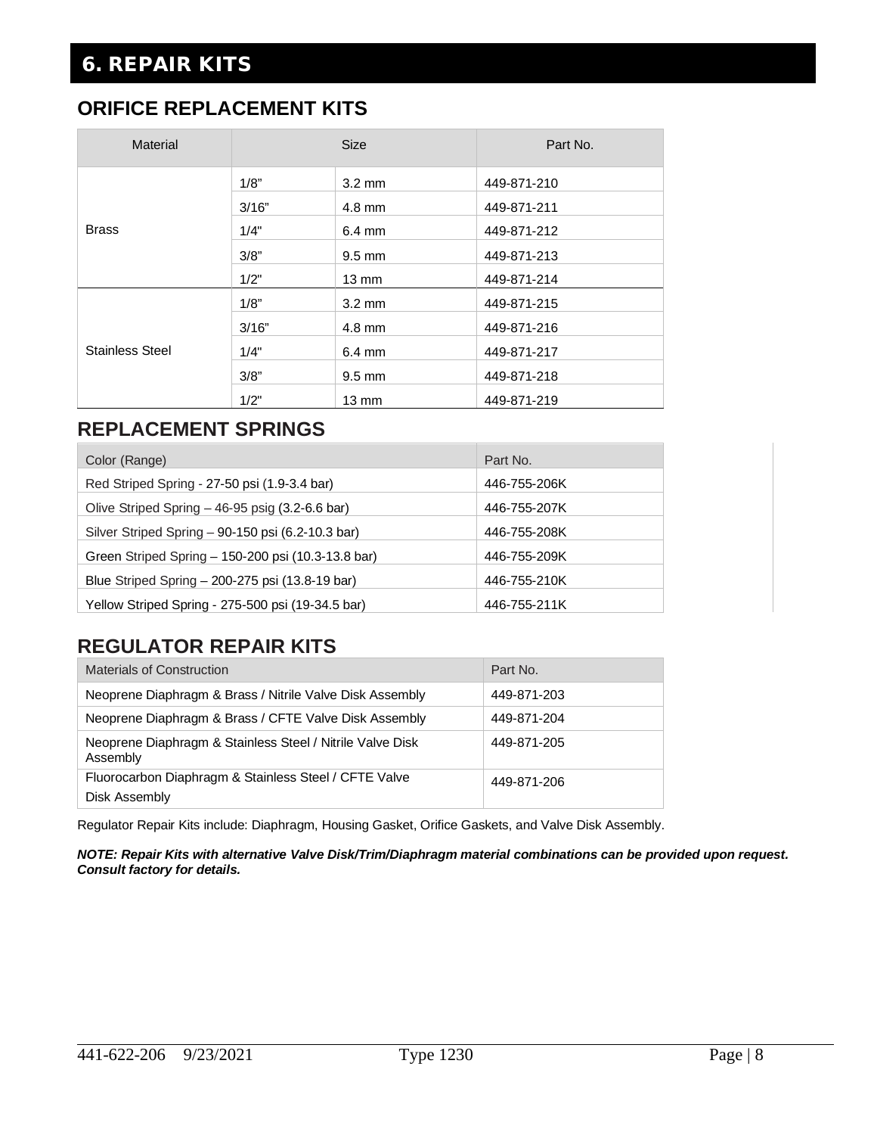# 6. REPAIR KITS

### **ORIFICE REPLACEMENT KITS**

| Material               |       | <b>Size</b>      | Part No.    |
|------------------------|-------|------------------|-------------|
|                        | 1/8"  | $3.2 \text{ mm}$ | 449-871-210 |
|                        | 3/16" | $4.8 \text{ mm}$ | 449-871-211 |
| <b>Brass</b>           | 1/4"  | $6.4 \text{ mm}$ | 449-871-212 |
|                        | 3/8"  | $9.5 \text{ mm}$ | 449-871-213 |
|                        | 1/2"  | $13 \text{ mm}$  | 449-871-214 |
|                        | 1/8"  | $3.2 \text{ mm}$ | 449-871-215 |
|                        | 3/16" | $4.8 \text{ mm}$ | 449-871-216 |
| <b>Stainless Steel</b> | 1/4"  | $6.4 \text{ mm}$ | 449-871-217 |
|                        | 3/8"  | $9.5 \text{ mm}$ | 449-871-218 |
|                        | 1/2"  | $13 \text{ mm}$  | 449-871-219 |

## **REPLACEMENT SPRINGS**

| Color (Range)                                      | Part No.     |
|----------------------------------------------------|--------------|
| Red Striped Spring - 27-50 psi (1.9-3.4 bar)       | 446-755-206K |
| Olive Striped Spring - 46-95 psig (3.2-6.6 bar)    | 446-755-207K |
| Silver Striped Spring - 90-150 psi (6.2-10.3 bar)  | 446-755-208K |
| Green Striped Spring - 150-200 psi (10.3-13.8 bar) | 446-755-209K |
| Blue Striped Spring - 200-275 psi (13.8-19 bar)    | 446-755-210K |
| Yellow Striped Spring - 275-500 psi (19-34.5 bar)  | 446-755-211K |

## **REGULATOR REPAIR KITS**

| <b>Materials of Construction</b>                                       | Part No.    |
|------------------------------------------------------------------------|-------------|
| Neoprene Diaphragm & Brass / Nitrile Valve Disk Assembly               | 449-871-203 |
| Neoprene Diaphragm & Brass / CFTE Valve Disk Assembly                  | 449-871-204 |
| Neoprene Diaphragm & Stainless Steel / Nitrile Valve Disk<br>Assembly  | 449-871-205 |
| Fluorocarbon Diaphragm & Stainless Steel / CFTE Valve<br>Disk Assembly | 449-871-206 |

Regulator Repair Kits include: Diaphragm, Housing Gasket, Orifice Gaskets, and Valve Disk Assembly.

*NOTE: Repair Kits with alternative Valve Disk/Trim/Diaphragm material combinations can be provided upon request. Consult factory for details.*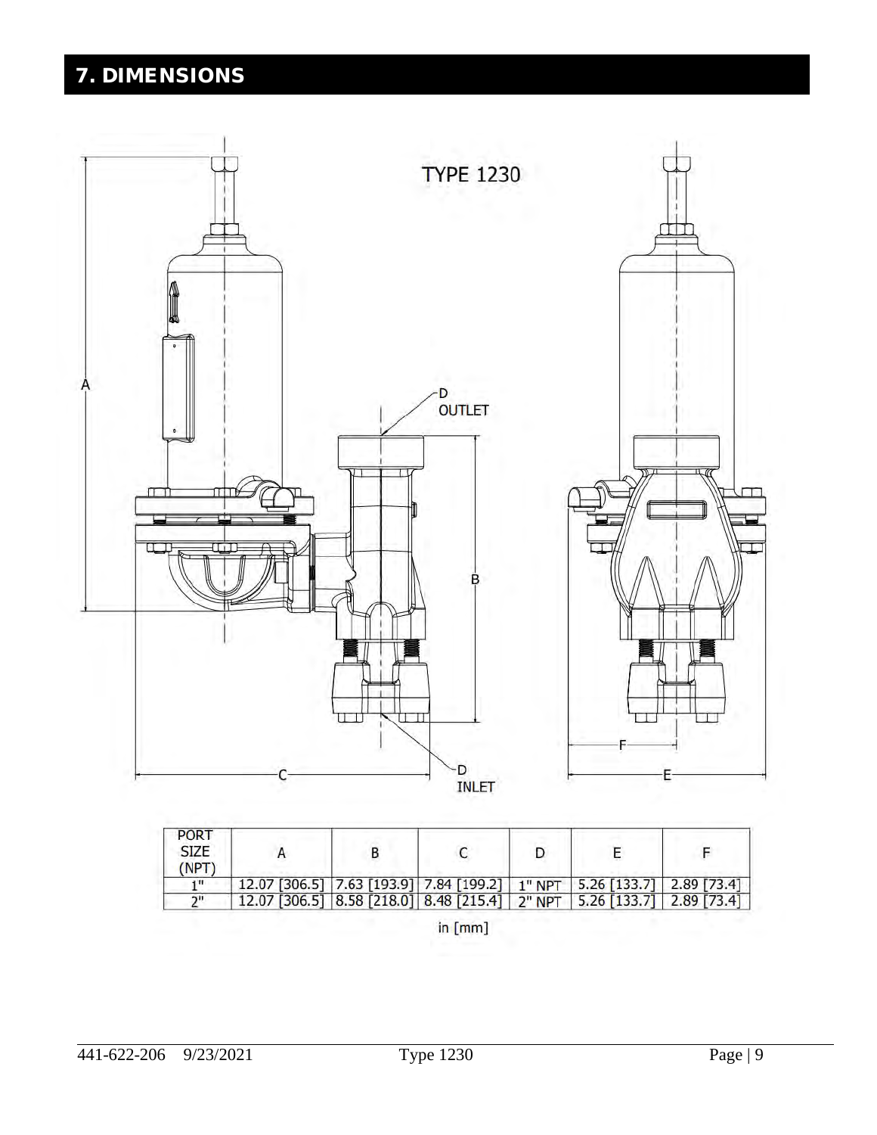# 7. DIMENSIONS



| <b>PURT</b><br><b>SIZE</b><br><b>NPT</b> |                                                                         |  |  |  |
|------------------------------------------|-------------------------------------------------------------------------|--|--|--|
| 411                                      | 12.07 [306.5] 7.63 [193.9] 7.84 [199.2] 1" NPT 5.26 [133.7] 2.89 [73.4] |  |  |  |
| ייר                                      | 12.07 [306.5] 8.58 [218.0] 8.48 [215.4] 2" NPT 5.26 [133.7] 2.89 [73.4] |  |  |  |